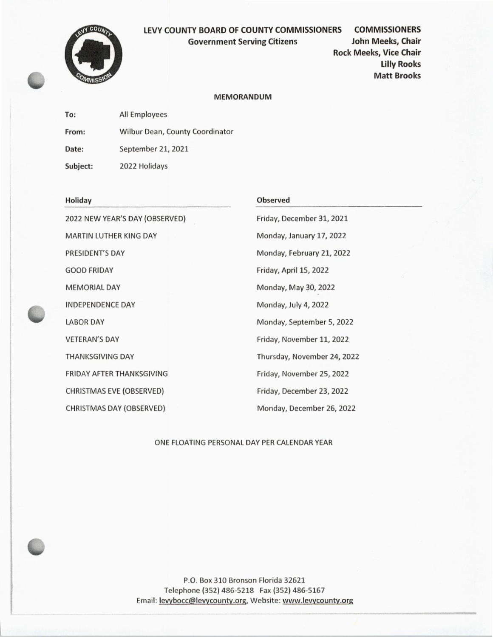

## LEVY COUNTY BOARD OF COUNTY COMMISSIONERS COMMISSIONERS Government Serving Citizens ... John Meeks, Chair

Rock Meeks, Vice Chair Lilly Rooks

## MEMORANDUM

| To:      | All Employees                   |  |
|----------|---------------------------------|--|
| From:    | Wilbur Dean, County Coordinator |  |
| Date:    | September 21, 2021              |  |
| Subject: | 2022 Holidays                   |  |

## Holiday Observed

|  | 2022 NEW YEAR'S DAY (OBSERVED)   | Friday, December 31, 2021   |
|--|----------------------------------|-----------------------------|
|  | MARTIN LUTHER KING DAY           | Monday, January 17, 2022    |
|  | PRESIDENT'S DAY                  | Monday, February 21, 2022   |
|  | <b>GOOD FRIDAY</b>               | Friday, April 15, 2022      |
|  | <b>MEMORIAL DAY</b>              | Monday, May 30, 2022        |
|  | <b>INDEPENDENCE DAY</b>          | Monday, July 4, 2022        |
|  | <b>LABOR DAY</b>                 | Monday, September 5, 2022   |
|  | <b>VETERAN'S DAY</b>             | Friday, November 11, 2022   |
|  | <b>THANKSGIVING DAY</b>          | Thursday, November 24, 2022 |
|  | <b>FRIDAY AFTER THANKSGIVING</b> | Friday, November 25, 2022   |
|  | <b>CHRISTMAS EVE (OBSERVED)</b>  | Friday, December 23, 2022   |
|  | <b>CHRISTMAS DAY (OBSERVED)</b>  | Monday, December 26, 2022   |

ONE FLOATING PERSONAL DAY PER CALENDAR YEAR

P.O. Box 310 Bronson Florida 32621 Telephone (352) 486-5218 Fax (352) 486-5167 Email: levybocc@levycounty.org, Website: www.levycounty.org